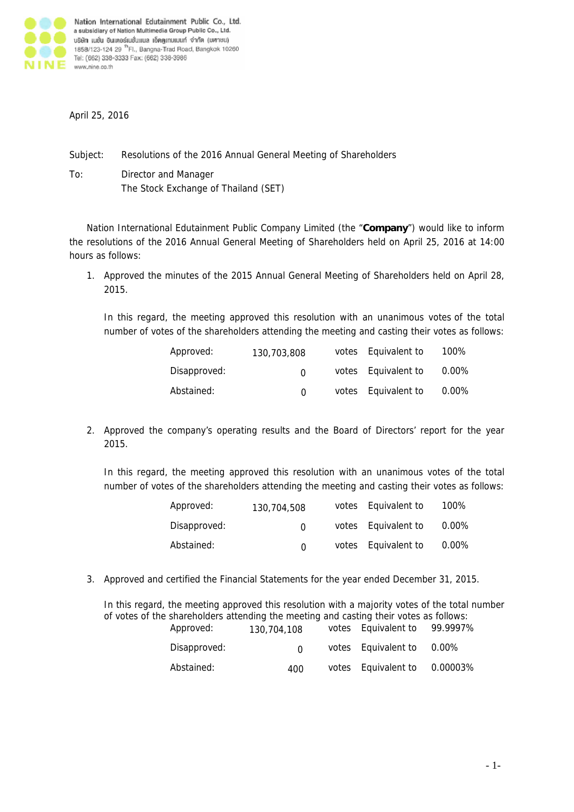

April 25, 2016

Subject: Resolutions of the 2016 Annual General Meeting of Shareholders

To: Director and Manager The Stock Exchange of Thailand (SET)

Nation International Edutainment Public Company Limited (the "**Company**") would like to inform the resolutions of the 2016 Annual General Meeting of Shareholders held on April 25, 2016 at 14:00 hours as follows:

1. Approved the minutes of the 2015 Annual General Meeting of Shareholders held on April 28, 2015.

In this regard, the meeting approved this resolution with an unanimous votes of the total number of votes of the shareholders attending the meeting and casting their votes as follows:

| Approved:    | 130,703,808  | votes Equivalent to | 100%     |
|--------------|--------------|---------------------|----------|
| Disapproved: | <sup>n</sup> | votes Equivalent to | $0.00\%$ |
| Abstained:   | <sup>n</sup> | votes Equivalent to | $0.00\%$ |

2. Approved the company's operating results and the Board of Directors' report for the year 2015.

In this regard, the meeting approved this resolution with an unanimous votes of the total number of votes of the shareholders attending the meeting and casting their votes as follows:

| Approved:    | 130,704,508  | votes Equivalent to | 100%     |
|--------------|--------------|---------------------|----------|
| Disapproved: | <sup>n</sup> | votes Equivalent to | $0.00\%$ |
| Abstained:   | <sup>n</sup> | votes Equivalent to | $0.00\%$ |

3. Approved and certified the Financial Statements for the year ended December 31, 2015.

In this regard, the meeting approved this resolution with a majority votes of the total number of votes of the shareholders attending the meeting and casting their votes as follows:

| Approved:    | 130,704,108 | votes Equivalent to | 99.9997% |
|--------------|-------------|---------------------|----------|
| Disapproved: | $\cap$      | votes Equivalent to | $0.00\%$ |
| Abstained:   | 400.        | votes Equivalent to | 0.00003% |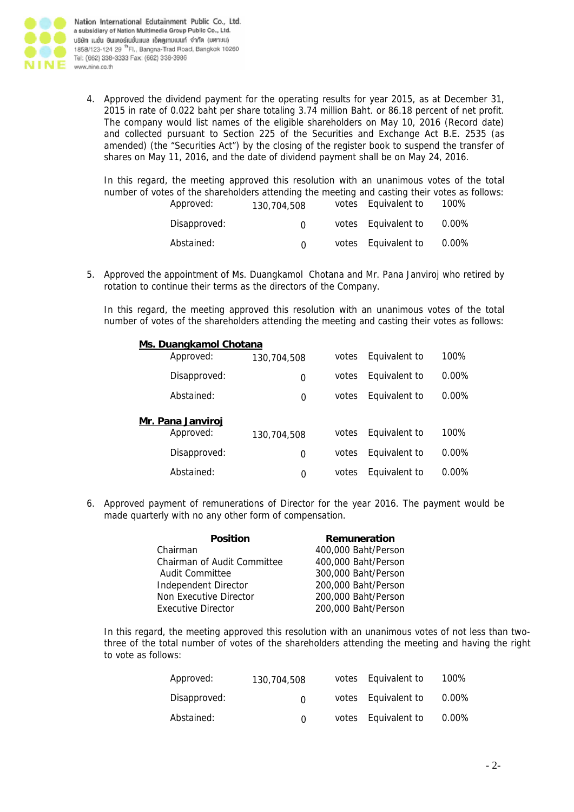

Nation International Edutainment Public Co., Ltd. a subsidiary of Nation Multimedia Group Public Co., Ltd. บริษัท เนชั่น อินเตอร์เนชั่นแนล เอ็ดดูเทนเมนท์ จำกัด (มตาชน) 1858/123-124 29 <sup>th</sup> Fl., Bangna-Trad Road, Bangkok 10260 Tel: (662) 338-3333 Fax: (662) 338-3986

4. Approved the dividend payment for the operating results for year 2015, as at December 31, 2015 in rate of 0.022 baht per share totaling 3.74 million Baht. or 86.18 percent of net profit. The company would list names of the eligible shareholders on May 10, 2016 (Record date) and collected pursuant to Section 225 of the Securities and Exchange Act B.E. 2535 (as amended) (the "Securities Act") by the closing of the register book to suspend the transfer of shares on May 11, 2016, and the date of dividend payment shall be on May 24, 2016.

In this regard, the meeting approved this resolution with an unanimous votes of the total number of votes of the shareholders attending the meeting and casting their votes as follows:<br>Approved: 120,704,508 votes Equivalent to 100%  $\overline{y}$  votes Equivalent to  $100\%$ 

| Apploved.    | 130.704.508  | VULGS LUURUIGIIL LU | 1 UU 70  |
|--------------|--------------|---------------------|----------|
| Disapproved: | <sup>n</sup> | votes Equivalent to | $0.00\%$ |
| Abstained:   |              | votes Equivalent to | $0.00\%$ |

5. Approved the appointment of Ms. Duangkamol Chotana and Mr. Pana Janviroj who retired by rotation to continue their terms as the directors of the Company.

In this regard, the meeting approved this resolution with an unanimous votes of the total number of votes of the shareholders attending the meeting and casting their votes as follows:

| Ms. Duangkamol Chotana   |              |             |       |               |          |
|--------------------------|--------------|-------------|-------|---------------|----------|
|                          | Approved:    | 130,704,508 | votes | Equivalent to | $100\%$  |
|                          | Disapproved: | 0           | votes | Equivalent to | $0.00\%$ |
|                          | Abstained:   | 0           | votes | Equivalent to | $0.00\%$ |
| <u>Mr. Pana Janviroj</u> |              |             |       |               |          |
|                          | Approved:    | 130,704,508 | votes | Equivalent to | 100%     |
|                          | Disapproved: | 0           | votes | Equivalent to | $0.00\%$ |
|                          | Abstained:   | 0           | votes | Equivalent to | $0.00\%$ |

6. Approved payment of remunerations of Director for the year 2016. The payment would be made quarterly with no any other form of compensation.

| <b>Position</b>             | Remuneration        |
|-----------------------------|---------------------|
| Chairman                    | 400,000 Baht/Person |
| Chairman of Audit Committee | 400,000 Baht/Person |
| <b>Audit Committee</b>      | 300,000 Baht/Person |
| Independent Director        | 200,000 Baht/Person |
| Non Executive Director      | 200,000 Baht/Person |
| <b>Executive Director</b>   | 200,000 Baht/Person |

In this regard, the meeting approved this resolution with an unanimous votes of not less than twothree of the total number of votes of the shareholders attending the meeting and having the right to vote as follows:

| Approved:    | 130,704,508  | votes Equivalent to | 100%     |
|--------------|--------------|---------------------|----------|
| Disapproved: | $\Omega$     | votes Equivalent to | 0.00%    |
| Abstained:   | <sup>n</sup> | votes Equivalent to | $0.00\%$ |